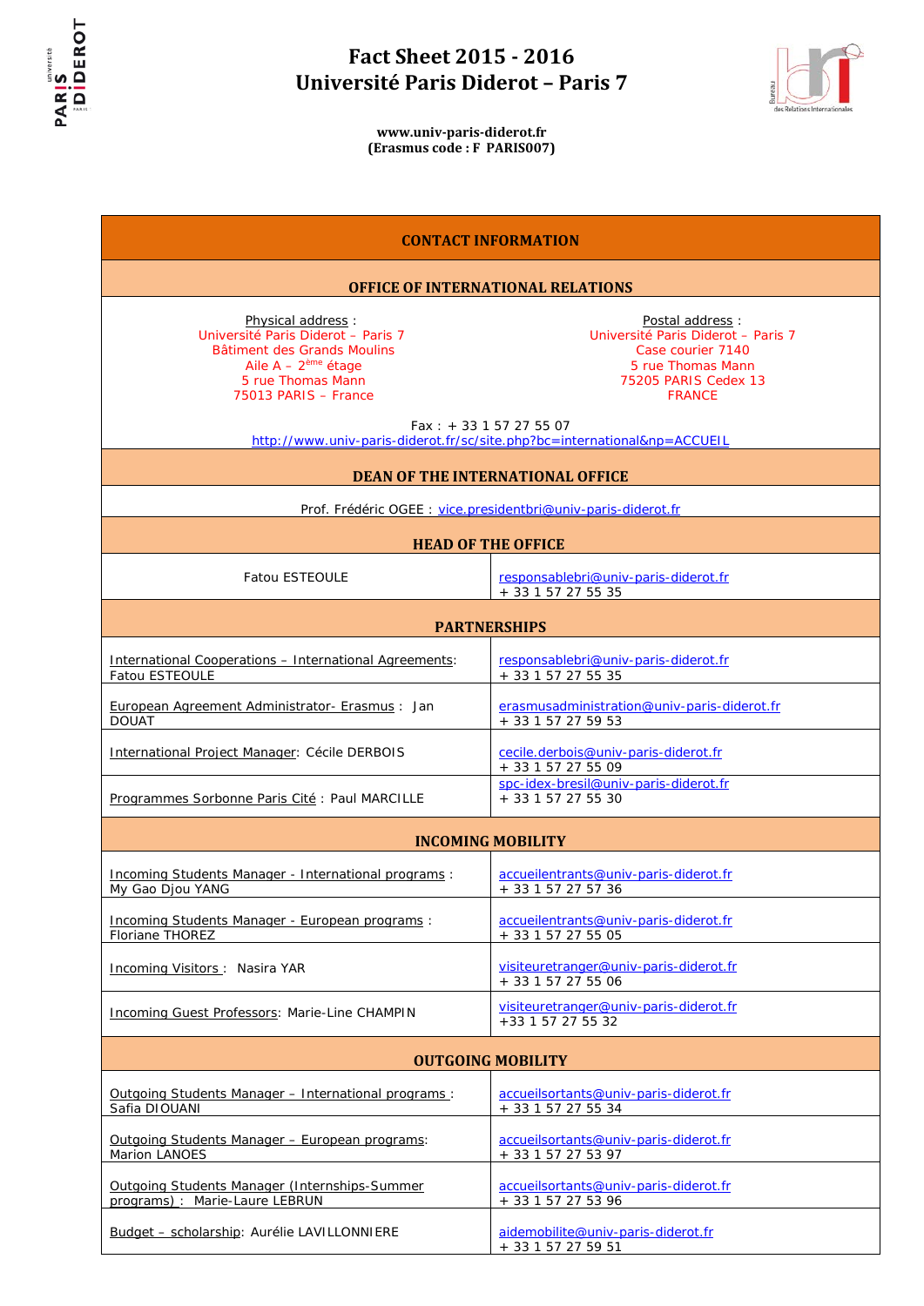



| <b>CONTACT INFORMATION</b>                                                                                                                                   |                                                                                                                                                                                                                                                  |  |
|--------------------------------------------------------------------------------------------------------------------------------------------------------------|--------------------------------------------------------------------------------------------------------------------------------------------------------------------------------------------------------------------------------------------------|--|
| <b>OFFICE OF INTERNATIONAL RELATIONS</b>                                                                                                                     |                                                                                                                                                                                                                                                  |  |
| Physical address:<br>Université Paris Diderot - Paris 7<br>Bâtiment des Grands Moulins<br>Aile $A - 2eme$ étage<br>5 rue Thomas Mann<br>75013 PARIS - France | Postal address:<br>Université Paris Diderot - Paris 7<br>Case courier 7140<br>5 rue Thomas Mann<br>75205 PARIS Cedex 13<br><b>FRANCE</b><br>Fax: $+33$ 1 57 27 55 07<br>http://www.univ-paris-diderot.fr/sc/site.php?bc=international&np=ACCUEIL |  |
|                                                                                                                                                              | <b>DEAN OF THE INTERNATIONAL OFFICE</b>                                                                                                                                                                                                          |  |
|                                                                                                                                                              | Prof. Frédéric OGEE : vice.presidentbri@univ-paris-diderot.fr                                                                                                                                                                                    |  |
|                                                                                                                                                              | <b>HEAD OF THE OFFICE</b>                                                                                                                                                                                                                        |  |
| <b>Fatou ESTEOULE</b>                                                                                                                                        | responsablebri@univ-paris-diderot.fr<br>+ 33 1 57 27 55 35                                                                                                                                                                                       |  |
| <b>PARTNERSHIPS</b>                                                                                                                                          |                                                                                                                                                                                                                                                  |  |
| International Cooperations - International Agreements:<br>Fatou ESTEOULE                                                                                     | responsablebri@univ-paris-diderot.fr<br>+ 33 1 57 27 55 35                                                                                                                                                                                       |  |
| European Agreement Administrator- Erasmus: Jan<br><b>DOUAT</b>                                                                                               | erasmusadministration@univ-paris-diderot.fr<br>+ 33 1 57 27 59 53                                                                                                                                                                                |  |
| International Project Manager: Cécile DERBOIS                                                                                                                | cecile.derbois@univ-paris-diderot.fr<br>+ 33 1 57 27 55 09                                                                                                                                                                                       |  |
| Programmes Sorbonne Paris Cité : Paul MARCILLE                                                                                                               | spc-idex-bresil@univ-paris-diderot.fr<br>+ 33 1 57 27 55 30                                                                                                                                                                                      |  |
|                                                                                                                                                              | <b>INCOMING MOBILITY</b>                                                                                                                                                                                                                         |  |
| <u>Incoming Students Manager - International programs:</u><br>My Gao Djou YANG                                                                               | accueilentrants@univ-paris-diderot.fr<br>+ 33 1 57 27 57 36                                                                                                                                                                                      |  |
| <u>Incoming Students Manager - European programs:</u><br>Floriane THOREZ                                                                                     | accueilentrants@univ-paris-diderot.fr<br>+ 33 1 57 27 55 05                                                                                                                                                                                      |  |
| Incoming Visitors: Nasira YAR                                                                                                                                | visiteuretranger@univ-paris-diderot.fr<br>+ 33 1 57 27 55 06                                                                                                                                                                                     |  |
| Incoming Guest Professors: Marie-Line CHAMPIN                                                                                                                | visiteuretranger@univ-paris-diderot.fr<br>+33 1 57 27 55 32                                                                                                                                                                                      |  |
| <b>OUTGOING MOBILITY</b>                                                                                                                                     |                                                                                                                                                                                                                                                  |  |
| Outgoing Students Manager - International programs:<br>Safia DIOUANI                                                                                         | accueilsortants@univ-paris-diderot.fr<br>+ 33 1 57 27 55 34                                                                                                                                                                                      |  |
| Outgoing Students Manager - European programs:<br>Marion LANOES                                                                                              | accueilsortants@univ-paris-diderot.fr<br>+ 33 1 57 27 53 97                                                                                                                                                                                      |  |
| Outgoing Students Manager (Internships-Summer<br>programs): Marie-Laure LEBRUN                                                                               | accueilsortants@univ-paris-diderot.fr<br>+ 33 1 57 27 53 96                                                                                                                                                                                      |  |
| Budget - scholarship: Aurélie LAVILLONNIERE                                                                                                                  | aidemobilite@univ-paris-diderot.fr<br>+ 33 1 57 27 59 51                                                                                                                                                                                         |  |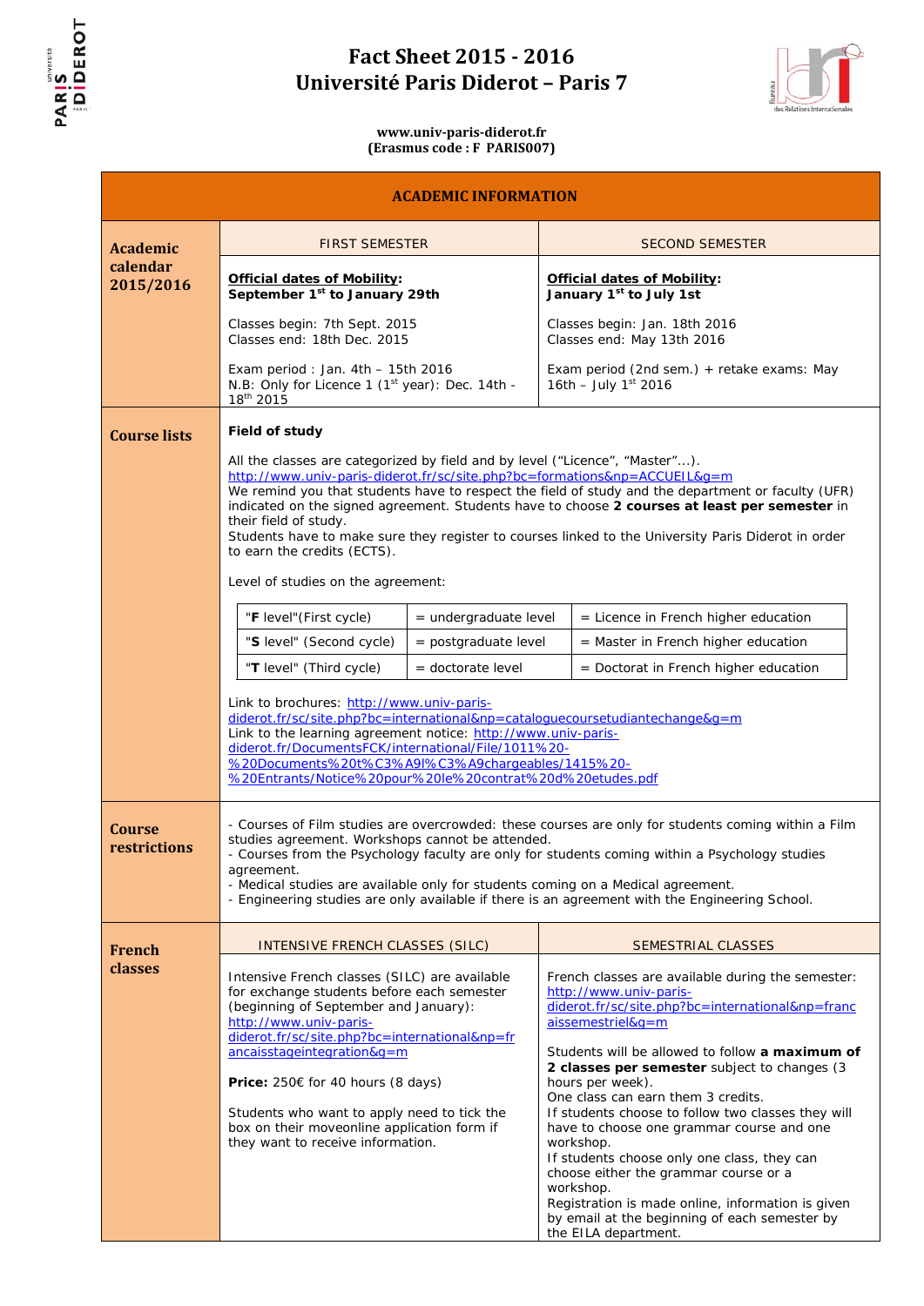



**www.univ-paris-diderot.fr (Erasmus code : F PARIS007)**

### **ACADEMIC INFORMATION**

| <b>Academic</b>               | <b>FIRST SEMESTER</b>                                                                                                                                                                                                                                                                                                                                                                                                                                         |                         |                                                                           | <b>SECOND SEMESTER</b>                                                                                                                                                                                                                                                                                                                                                                                                                                                                                                                                                                                                                       |
|-------------------------------|---------------------------------------------------------------------------------------------------------------------------------------------------------------------------------------------------------------------------------------------------------------------------------------------------------------------------------------------------------------------------------------------------------------------------------------------------------------|-------------------------|---------------------------------------------------------------------------|----------------------------------------------------------------------------------------------------------------------------------------------------------------------------------------------------------------------------------------------------------------------------------------------------------------------------------------------------------------------------------------------------------------------------------------------------------------------------------------------------------------------------------------------------------------------------------------------------------------------------------------------|
| calendar<br>2015/2016         | <b>Official dates of Mobility:</b><br>September 1 <sup>st</sup> to January 29th                                                                                                                                                                                                                                                                                                                                                                               |                         | <b>Official dates of Mobility:</b><br>January 1 <sup>st</sup> to July 1st |                                                                                                                                                                                                                                                                                                                                                                                                                                                                                                                                                                                                                                              |
|                               | Classes begin: 7th Sept. 2015<br>Classes end: 18th Dec. 2015                                                                                                                                                                                                                                                                                                                                                                                                  |                         | Classes begin: Jan. 18th 2016<br>Classes end: May 13th 2016               |                                                                                                                                                                                                                                                                                                                                                                                                                                                                                                                                                                                                                                              |
|                               | Exam period : Jan. $4th - 15th$ 2016<br>N.B: Only for Licence 1 (1 <sup>st</sup> year): Dec. 14th -<br>18 <sup>th</sup> 2015                                                                                                                                                                                                                                                                                                                                  |                         |                                                                           | Exam period (2nd sem.) + retake exams: May<br>16th - July $1^{st}$ 2016                                                                                                                                                                                                                                                                                                                                                                                                                                                                                                                                                                      |
| <b>Course lists</b>           | Field of study<br>All the classes are categorized by field and by level ("Licence", "Master").                                                                                                                                                                                                                                                                                                                                                                |                         |                                                                           |                                                                                                                                                                                                                                                                                                                                                                                                                                                                                                                                                                                                                                              |
|                               | http://www.univ-paris-diderot.fr/sc/site.php?bc=formations&np=ACCUEIL&q=m<br>their field of study.<br>to earn the credits (ECTS).<br>Level of studies on the agreement:                                                                                                                                                                                                                                                                                       |                         |                                                                           | We remind you that students have to respect the field of study and the department or faculty (UFR)<br>indicated on the signed agreement. Students have to choose 2 courses at least per semester in<br>Students have to make sure they register to courses linked to the University Paris Diderot in order                                                                                                                                                                                                                                                                                                                                   |
|                               | "F level" (First cycle)                                                                                                                                                                                                                                                                                                                                                                                                                                       | $=$ undergraduate level |                                                                           | $=$ <i>Licence</i> in French higher education                                                                                                                                                                                                                                                                                                                                                                                                                                                                                                                                                                                                |
|                               | "S level" (Second cycle)                                                                                                                                                                                                                                                                                                                                                                                                                                      | $=$ postgraduate level  |                                                                           | $=$ Master in French higher education                                                                                                                                                                                                                                                                                                                                                                                                                                                                                                                                                                                                        |
|                               | "T level" (Third cycle)                                                                                                                                                                                                                                                                                                                                                                                                                                       | = doctorate level       |                                                                           | = Doctorat in French higher education                                                                                                                                                                                                                                                                                                                                                                                                                                                                                                                                                                                                        |
|                               | Link to brochures: http://www.univ-paris-<br>diderot.fr/sc/site.php?bc=international&np=cataloguecoursetudiantechange&g=m<br>Link to the learning agreement notice: http://www.univ-paris-<br>diderot.fr/DocumentsFCK/international/File/1011%20-<br>%20Documents%20t%C3%A9I%C3%A9chargeables/1415%20-<br>%20Entrants/Notice%20pour%20le%20contrat%20d%20etudes.pdf                                                                                           |                         |                                                                           |                                                                                                                                                                                                                                                                                                                                                                                                                                                                                                                                                                                                                                              |
| <b>Course</b><br>restrictions | - Courses of Film studies are overcrowded: these courses are only for students coming within a Film<br>studies agreement. Workshops cannot be attended.<br>- Courses from the Psychology faculty are only for students coming within a Psychology studies<br>agreement.<br>- Medical studies are available only for students coming on a Medical agreement.<br>- Engineering studies are only available if there is an agreement with the Engineering School. |                         |                                                                           |                                                                                                                                                                                                                                                                                                                                                                                                                                                                                                                                                                                                                                              |
| French                        | <b>INTENSIVE FRENCH CLASSES (SILC)</b>                                                                                                                                                                                                                                                                                                                                                                                                                        |                         |                                                                           | SEMESTRIAL CLASSES                                                                                                                                                                                                                                                                                                                                                                                                                                                                                                                                                                                                                           |
| classes                       | Intensive French classes (SILC) are available<br>for exchange students before each semester<br>(beginning of September and January):<br>http://www.univ-paris-<br>diderot.fr/sc/site.php?bc=international&np=fr<br>ancaisstageintegration&g=m<br><b>Price:</b> 250€ for 40 hours (8 days)<br>Students who want to apply need to tick the<br>box on their moveonline application form if<br>they want to receive information.                                  |                         |                                                                           | French classes are available during the semester:<br>http://www.univ-paris-<br>diderot.fr/sc/site.php?bc=international&np=franc<br>aissemestriel&g=m<br>Students will be allowed to follow a maximum of<br>2 classes per semester subject to changes (3<br>hours per week).<br>One class can earn them 3 credits.<br>If students choose to follow two classes they will<br>have to choose one grammar course and one<br>workshop.<br>If students choose only one class, they can<br>choose either the grammar course or a<br>workshop.<br>Registration is made online, information is given<br>by email at the beginning of each semester by |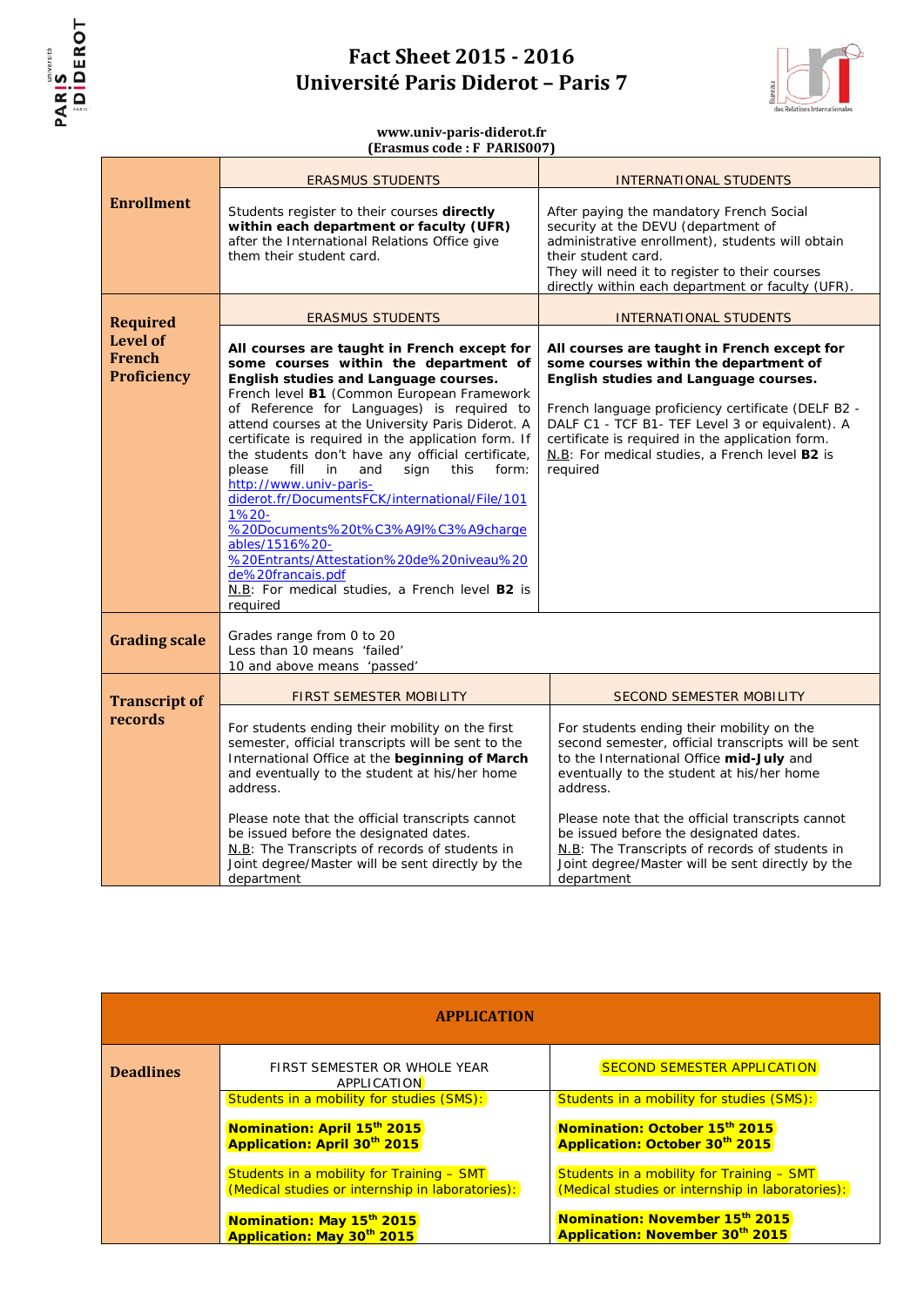



|                                                        | <b>ERASMUS STUDENTS</b>                                                                                                                                                                                                                                                                                                                                                                                                                                                                                                                                                                                                                                                                                                            | <b>INTERNATIONAL STUDENTS</b>                                                                                                                                                                                                                                                                                                                                                                                          |
|--------------------------------------------------------|------------------------------------------------------------------------------------------------------------------------------------------------------------------------------------------------------------------------------------------------------------------------------------------------------------------------------------------------------------------------------------------------------------------------------------------------------------------------------------------------------------------------------------------------------------------------------------------------------------------------------------------------------------------------------------------------------------------------------------|------------------------------------------------------------------------------------------------------------------------------------------------------------------------------------------------------------------------------------------------------------------------------------------------------------------------------------------------------------------------------------------------------------------------|
| <b>Enrollment</b>                                      | Students register to their courses directly<br>within each department or faculty (UFR)<br>after the International Relations Office give<br>them their student card.                                                                                                                                                                                                                                                                                                                                                                                                                                                                                                                                                                | After paying the mandatory French Social<br>security at the DEVU (department of<br>administrative enrollment), students will obtain<br>their student card.<br>They will need it to register to their courses<br>directly within each department or faculty (UFR).                                                                                                                                                      |
| <b>Required</b>                                        | <b>ERASMUS STUDENTS</b>                                                                                                                                                                                                                                                                                                                                                                                                                                                                                                                                                                                                                                                                                                            | <b>INTERNATIONAL STUDENTS</b>                                                                                                                                                                                                                                                                                                                                                                                          |
| <b>Level of</b><br><b>French</b><br><b>Proficiency</b> | All courses are taught in French except for<br>some courses within the department of<br>English studies and Language courses.<br>French level B1 (Common European Framework<br>of Reference for Languages) is required to<br>attend courses at the University Paris Diderot. A<br>certificate is required in the application form. If<br>the students don't have any official certificate,<br>fill<br>in<br>and<br>sign<br>please<br>this<br>form:<br>http://www.univ-paris-<br>diderot.fr/DocumentsFCK/international/File/101<br>$1%20 -$<br>%20Documents%20t%C3%A9I%C3%A9charge<br>ables/1516%20-<br>%20Entrants/Attestation%20de%20niveau%20<br>de%20francais.pdf<br>N.B: For medical studies, a French level B2 is<br>required | All courses are taught in French except for<br>some courses within the department of<br>English studies and Language courses.<br>French language proficiency certificate (DELF B2 -<br>DALF C1 - TCF B1- TEF Level 3 or equivalent). A<br>certificate is required in the application form.<br>N.B: For medical studies, a French level B2 is<br>required                                                               |
| <b>Grading scale</b>                                   | Grades range from 0 to 20<br>Less than 10 means 'failed'<br>10 and above means 'passed'                                                                                                                                                                                                                                                                                                                                                                                                                                                                                                                                                                                                                                            |                                                                                                                                                                                                                                                                                                                                                                                                                        |
| <b>Transcript of</b>                                   | <b>FIRST SEMESTER MOBILITY</b>                                                                                                                                                                                                                                                                                                                                                                                                                                                                                                                                                                                                                                                                                                     | <b>SECOND SEMESTER MOBILITY</b>                                                                                                                                                                                                                                                                                                                                                                                        |
| records                                                | For students ending their mobility on the first<br>semester, official transcripts will be sent to the<br>International Office at the beginning of March<br>and eventually to the student at his/her home<br>address.<br>Please note that the official transcripts cannot<br>be issued before the designated dates.<br>N.B: The Transcripts of records of students in<br>Joint degree/Master will be sent directly by the<br>department                                                                                                                                                                                                                                                                                             | For students ending their mobility on the<br>second semester, official transcripts will be sent<br>to the International Office mid-July and<br>eventually to the student at his/her home<br>address.<br>Please note that the official transcripts cannot<br>be issued before the designated dates.<br>N.B: The Transcripts of records of students in<br>Joint degree/Master will be sent directly by the<br>department |

|                  | <b>APPLICATION</b>                                                                            |                                                                                               |
|------------------|-----------------------------------------------------------------------------------------------|-----------------------------------------------------------------------------------------------|
| <b>Deadlines</b> | FIRST SEMESTER OR WHOLE YEAR<br>APPLICATION                                                   | <b>SECOND SEMESTER APPLICATION</b>                                                            |
|                  | Students in a mobility for studies (SMS):                                                     | Students in a mobility for studies (SMS):                                                     |
|                  | Nomination: April 15 <sup>th</sup> 2015<br><b>Application: April 30th 2015</b>                | Nomination: October 15 <sup>th</sup> 2015<br>Application: October 30th 2015                   |
|                  | Students in a mobility for Training - SMT<br>(Medical studies or internship in laboratories): | Students in a mobility for Training - SMT<br>(Medical studies or internship in laboratories): |
|                  | Nomination: May 15 <sup>th</sup> 2015<br>Application: May 30 <sup>th</sup> 2015               | Nomination: November 15th 2015<br>Application: November 30th 2015                             |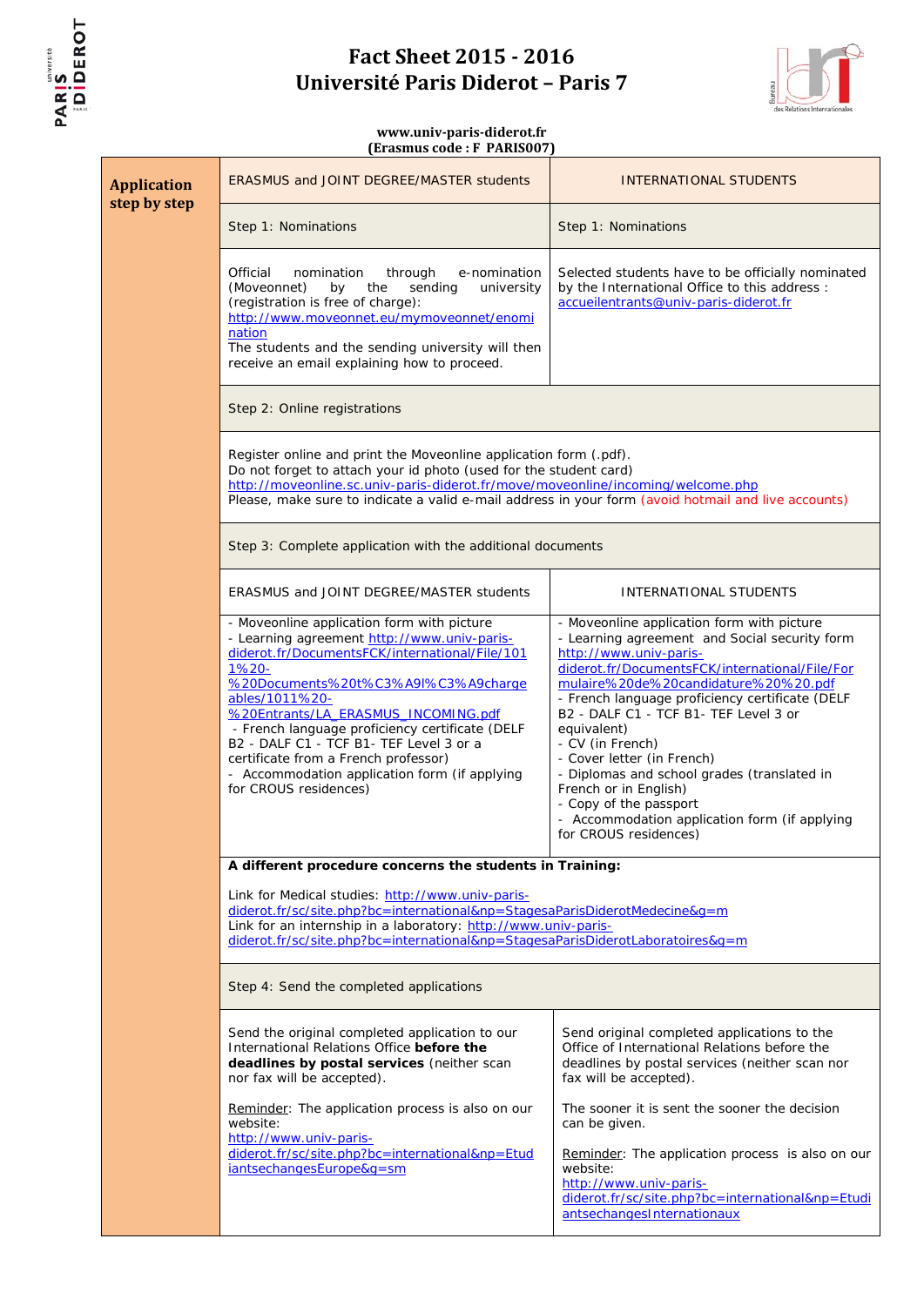



| <b>Application</b><br>step by step                                                                                                                                                                                                                                                                                                             | <b>ERASMUS and JOINT DEGREE/MASTER students</b>                                                                                                                                                                                                                                                                                                                                                                                                                      | INTERNATIONAL STUDENTS                                                                                                                                                                                                                                                                                                                                                                                                                                                                                                                                   |  |
|------------------------------------------------------------------------------------------------------------------------------------------------------------------------------------------------------------------------------------------------------------------------------------------------------------------------------------------------|----------------------------------------------------------------------------------------------------------------------------------------------------------------------------------------------------------------------------------------------------------------------------------------------------------------------------------------------------------------------------------------------------------------------------------------------------------------------|----------------------------------------------------------------------------------------------------------------------------------------------------------------------------------------------------------------------------------------------------------------------------------------------------------------------------------------------------------------------------------------------------------------------------------------------------------------------------------------------------------------------------------------------------------|--|
|                                                                                                                                                                                                                                                                                                                                                | Step 1: Nominations                                                                                                                                                                                                                                                                                                                                                                                                                                                  | Step 1: Nominations                                                                                                                                                                                                                                                                                                                                                                                                                                                                                                                                      |  |
|                                                                                                                                                                                                                                                                                                                                                | Official<br>nomination<br>through<br>e-nomination<br>(Moveonnet)<br>the<br>sending<br>by<br>university<br>(registration is free of charge):<br>http://www.moveonnet.eu/mymoveonnet/enomi<br>nation<br>The students and the sending university will then<br>receive an email explaining how to proceed.                                                                                                                                                               | Selected students have to be officially nominated<br>by the International Office to this address :<br>accueilentrants@univ-paris-diderot.fr                                                                                                                                                                                                                                                                                                                                                                                                              |  |
|                                                                                                                                                                                                                                                                                                                                                | Step 2: Online registrations                                                                                                                                                                                                                                                                                                                                                                                                                                         |                                                                                                                                                                                                                                                                                                                                                                                                                                                                                                                                                          |  |
|                                                                                                                                                                                                                                                                                                                                                | Register online and print the Moveonline application form (.pdf).<br>Do not forget to attach your id photo (used for the student card)<br>http://moveonline.sc.univ-paris-diderot.fr/move/moveonline/incoming/welcome.php<br>Please, make sure to indicate a valid e-mail address in your form (avoid hotmail and live accounts)                                                                                                                                     |                                                                                                                                                                                                                                                                                                                                                                                                                                                                                                                                                          |  |
|                                                                                                                                                                                                                                                                                                                                                | Step 3: Complete application with the additional documents                                                                                                                                                                                                                                                                                                                                                                                                           |                                                                                                                                                                                                                                                                                                                                                                                                                                                                                                                                                          |  |
|                                                                                                                                                                                                                                                                                                                                                | ERASMUS and JOINT DEGREE/MASTER students                                                                                                                                                                                                                                                                                                                                                                                                                             | INTERNATIONAL STUDENTS                                                                                                                                                                                                                                                                                                                                                                                                                                                                                                                                   |  |
|                                                                                                                                                                                                                                                                                                                                                | - Moveonline application form with picture<br>- Learning agreement http://www.univ-paris-<br>diderot.fr/DocumentsFCK/international/File/101<br>1%20-<br>%20Documents%20t%C3%A9I%C3%A9charge<br>ables/1011%20-<br>%20Entrants/LA_ERASMUS_INCOMING.pdf<br>- French language proficiency certificate (DELF<br>B2 - DALF C1 - TCF B1- TEF Level 3 or a<br>certificate from a French professor)<br>- Accommodation application form (if applying<br>for CROUS residences) | - Moveonline application form with picture<br>- Learning agreement and Social security form<br>http://www.univ-paris-<br>diderot.fr/DocumentsFCK/international/File/For<br>mulaire%20de%20candidature%20%20.pdf<br>- French language proficiency certificate (DELF<br>B2 - DALF C1 - TCF B1- TEF Level 3 or<br>equivalent)<br>- CV (in French)<br>- Cover letter (in French)<br>- Diplomas and school grades (translated in<br>French or in English)<br>- Copy of the passport<br>- Accommodation application form (if applying<br>for CROUS residences) |  |
| A different procedure concerns the students in Training:<br>Link for Medical studies: http://www.univ-paris-<br>diderot.fr/sc/site.php?bc=international&np=StagesaParisDiderotMedecine&q=m<br>Link for an internship in a laboratory: http://www.univ-paris-<br>diderot.fr/sc/site.php?bc=international&np=StagesaParisDiderotLaboratoires&g=m |                                                                                                                                                                                                                                                                                                                                                                                                                                                                      |                                                                                                                                                                                                                                                                                                                                                                                                                                                                                                                                                          |  |
|                                                                                                                                                                                                                                                                                                                                                |                                                                                                                                                                                                                                                                                                                                                                                                                                                                      |                                                                                                                                                                                                                                                                                                                                                                                                                                                                                                                                                          |  |
|                                                                                                                                                                                                                                                                                                                                                | Step 4: Send the completed applications                                                                                                                                                                                                                                                                                                                                                                                                                              |                                                                                                                                                                                                                                                                                                                                                                                                                                                                                                                                                          |  |
|                                                                                                                                                                                                                                                                                                                                                | Send the original completed application to our<br>International Relations Office before the<br>deadlines by postal services (neither scan<br>nor fax will be accepted).                                                                                                                                                                                                                                                                                              | Send original completed applications to the<br>Office of International Relations before the<br>deadlines by postal services (neither scan nor<br>fax will be accepted).                                                                                                                                                                                                                                                                                                                                                                                  |  |
|                                                                                                                                                                                                                                                                                                                                                | Reminder: The application process is also on our<br>website:<br>http://www.univ-paris-                                                                                                                                                                                                                                                                                                                                                                               | The sooner it is sent the sooner the decision<br>can be given.                                                                                                                                                                                                                                                                                                                                                                                                                                                                                           |  |
|                                                                                                                                                                                                                                                                                                                                                | diderot.fr/sc/site.php?bc=international&np=Etud<br>iantsechangesEurope&g=sm                                                                                                                                                                                                                                                                                                                                                                                          | Reminder: The application process is also on our<br>website:<br>http://www.univ-paris-<br>diderot.fr/sc/site.php?bc=international&np=Etudi<br>antsechangesInternationaux                                                                                                                                                                                                                                                                                                                                                                                 |  |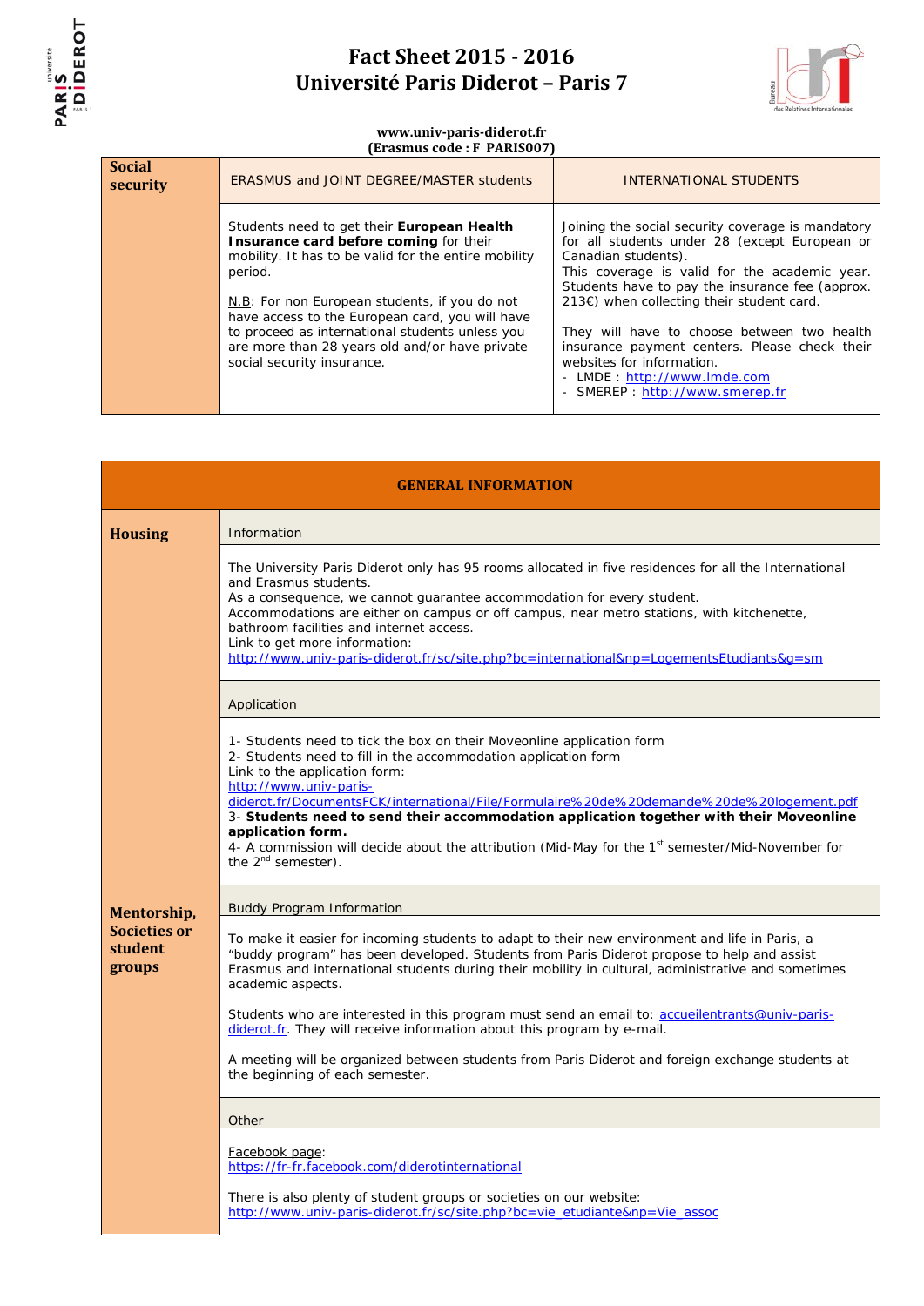



| <b>Social</b><br>security | <b>ERASMUS and JOINT DEGREE/MASTER students</b>                                                                                                                                                                                                                                                                                                                                                | INTERNATIONAL STUDENTS                                                                                                                                                                                                                                                                                                                                                                                                                                                    |
|---------------------------|------------------------------------------------------------------------------------------------------------------------------------------------------------------------------------------------------------------------------------------------------------------------------------------------------------------------------------------------------------------------------------------------|---------------------------------------------------------------------------------------------------------------------------------------------------------------------------------------------------------------------------------------------------------------------------------------------------------------------------------------------------------------------------------------------------------------------------------------------------------------------------|
|                           | Students need to get their European Health<br>Insurance card before coming for their<br>mobility. It has to be valid for the entire mobility<br>period.<br>N.B: For non European students, if you do not<br>have access to the European card, you will have<br>to proceed as international students unless you<br>are more than 28 years old and/or have private<br>social security insurance. | Joining the social security coverage is mandatory<br>for all students under 28 (except European or<br>Canadian students).<br>This coverage is valid for the academic year.<br>Students have to pay the insurance fee (approx.<br>213€) when collecting their student card.<br>They will have to choose between two health<br>insurance payment centers. Please check their<br>websites for information.<br>- LMDE: http://www.lmde.com<br>- SMEREP : http://www.smerep.fr |

| <b>GENERAL INFORMATION</b>        |                                                                                                                                                                                                                                                                                                                                                                                                                                                                                                                                                                                                          |  |
|-----------------------------------|----------------------------------------------------------------------------------------------------------------------------------------------------------------------------------------------------------------------------------------------------------------------------------------------------------------------------------------------------------------------------------------------------------------------------------------------------------------------------------------------------------------------------------------------------------------------------------------------------------|--|
| <b>Housing</b>                    | Information                                                                                                                                                                                                                                                                                                                                                                                                                                                                                                                                                                                              |  |
|                                   | The University Paris Diderot only has 95 rooms allocated in five residences for all the International<br>and Erasmus students.<br>As a consequence, we cannot guarantee accommodation for every student.<br>Accommodations are either on campus or off campus, near metro stations, with kitchenette,<br>bathroom facilities and internet access.<br>Link to get more information:<br>http://www.univ-paris-diderot.fr/sc/site.php?bc=international&np=LogementsEtudiants&g=sm                                                                                                                           |  |
|                                   | Application                                                                                                                                                                                                                                                                                                                                                                                                                                                                                                                                                                                              |  |
|                                   | 1- Students need to tick the box on their Moveonline application form<br>2- Students need to fill in the accommodation application form<br>Link to the application form:<br>http://www.univ-paris-<br>diderot.fr/DocumentsFCK/international/File/Formulaire%20de%20demande%20de%20logement.pdf<br>3- Students need to send their accommodation application together with their Moveonline<br>application form.<br>4- A commission will decide about the attribution (Mid-May for the 1 <sup>st</sup> semester/Mid-November for<br>the $2^{nd}$ semester).                                                |  |
| Mentorship,                       | <b>Buddy Program Information</b>                                                                                                                                                                                                                                                                                                                                                                                                                                                                                                                                                                         |  |
| Societies or<br>student<br>groups | To make it easier for incoming students to adapt to their new environment and life in Paris, a<br>"buddy program" has been developed. Students from Paris Diderot propose to help and assist<br>Erasmus and international students during their mobility in cultural, administrative and sometimes<br>academic aspects.<br>Students who are interested in this program must send an email to: accueilentrants@univ-paris-<br>diderot.fr. They will receive information about this program by e-mail.<br>A meeting will be organized between students from Paris Diderot and foreign exchange students at |  |
|                                   | the beginning of each semester.                                                                                                                                                                                                                                                                                                                                                                                                                                                                                                                                                                          |  |
|                                   | Other                                                                                                                                                                                                                                                                                                                                                                                                                                                                                                                                                                                                    |  |
|                                   | Facebook page:<br>https://fr-fr.facebook.com/diderotinternational<br>There is also plenty of student groups or societies on our website:                                                                                                                                                                                                                                                                                                                                                                                                                                                                 |  |
|                                   | http://www.univ-paris-diderot.fr/sc/site.php?bc=vie_etudiante&np=Vie_assoc                                                                                                                                                                                                                                                                                                                                                                                                                                                                                                                               |  |